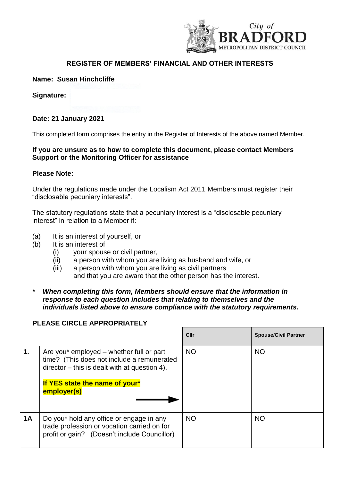

## **REGISTER OF MEMBERS' FINANCIAL AND OTHER INTERESTS**

## **Name: Susan Hinchcliffe**

**Signature:** 

### **Date: 21 January 2021**

This completed form comprises the entry in the Register of Interests of the above named Member.

#### **If you are unsure as to how to complete this document, please contact Members Support or the Monitoring Officer for assistance**

#### **Please Note:**

Under the regulations made under the Localism Act 2011 Members must register their "disclosable pecuniary interests".

The statutory regulations state that a pecuniary interest is a "disclosable pecuniary interest" in relation to a Member if:

- (a) It is an interest of yourself, or
- (b) It is an interest of
	- (i) your spouse or civil partner,
	- (ii) a person with whom you are living as husband and wife, or
	- (iii) a person with whom you are living as civil partners and that you are aware that the other person has the interest.
- *\* When completing this form, Members should ensure that the information in response to each question includes that relating to themselves and the individuals listed above to ensure compliance with the statutory requirements.*

# **PLEASE CIRCLE APPROPRIATELY**

|           |                                                                                                                                                                                           | Cllr      | <b>Spouse/Civil Partner</b> |
|-----------|-------------------------------------------------------------------------------------------------------------------------------------------------------------------------------------------|-----------|-----------------------------|
| 1.        | Are you* employed – whether full or part<br>time? (This does not include a remunerated<br>$director - this is dealt with at question 4.$<br>If YES state the name of your*<br>employer(s) | <b>NO</b> | <b>NO</b>                   |
| <b>1A</b> | Do you* hold any office or engage in any<br>trade profession or vocation carried on for<br>profit or gain? (Doesn't include Councillor)                                                   | <b>NO</b> | <b>NO</b>                   |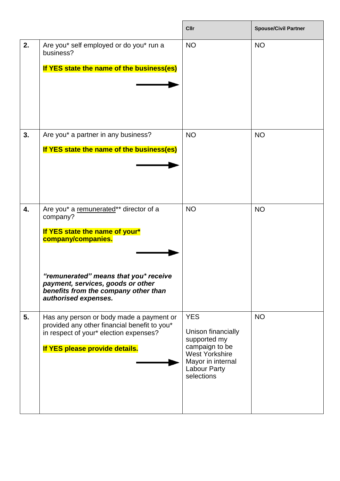|    |                                                                                                                                                                                                                                                          | Cllr                                                                                                                                                  | <b>Spouse/Civil Partner</b> |
|----|----------------------------------------------------------------------------------------------------------------------------------------------------------------------------------------------------------------------------------------------------------|-------------------------------------------------------------------------------------------------------------------------------------------------------|-----------------------------|
| 2. | Are you* self employed or do you* run a<br>business?<br>If YES state the name of the business(es)                                                                                                                                                        | <b>NO</b>                                                                                                                                             | <b>NO</b>                   |
| 3. | Are you* a partner in any business?<br>If YES state the name of the business(es)                                                                                                                                                                         | <b>NO</b>                                                                                                                                             | <b>NO</b>                   |
| 4. | Are you* a remunerated** director of a<br>company?<br>If YES state the name of your*<br>company/companies.<br>"remunerated" means that you* receive<br>payment, services, goods or other<br>benefits from the company other than<br>authorised expenses. | <b>NO</b>                                                                                                                                             | <b>NO</b>                   |
| 5. | Has any person or body made a payment or<br>provided any other financial benefit to you*<br>in respect of your* election expenses?<br>If YES please provide details.                                                                                     | <b>YES</b><br>Unison financially<br>supported my<br>campaign to be<br><b>West Yorkshire</b><br>Mayor in internal<br><b>Labour Party</b><br>selections | <b>NO</b>                   |

 $\overline{\phantom{0}}$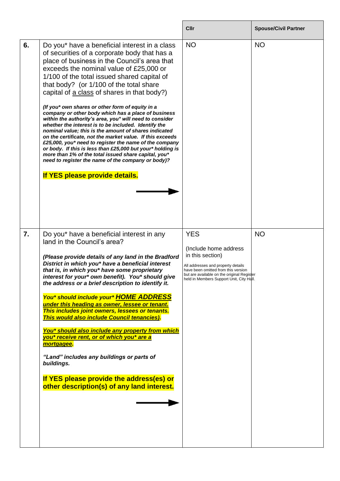|    |                                                                                                                                                                                                                                                                                                                                                                                                                                                                                                                                                                                                                                                                                                                                                                                                                                                                                                                                                               | Cllr                                                                                                                                                                                                                        | <b>Spouse/Civil Partner</b> |
|----|---------------------------------------------------------------------------------------------------------------------------------------------------------------------------------------------------------------------------------------------------------------------------------------------------------------------------------------------------------------------------------------------------------------------------------------------------------------------------------------------------------------------------------------------------------------------------------------------------------------------------------------------------------------------------------------------------------------------------------------------------------------------------------------------------------------------------------------------------------------------------------------------------------------------------------------------------------------|-----------------------------------------------------------------------------------------------------------------------------------------------------------------------------------------------------------------------------|-----------------------------|
| 6. | Do you* have a beneficial interest in a class<br>of securities of a corporate body that has a<br>place of business in the Council's area that<br>exceeds the nominal value of £25,000 or<br>1/100 of the total issued shared capital of<br>that body? (or 1/100 of the total share<br>capital of a class of shares in that body?)<br>(If you* own shares or other form of equity in a<br>company or other body which has a place of business<br>within the authority's area, you* will need to consider<br>whether the interest is to be included. Identify the<br>nominal value; this is the amount of shares indicated<br>on the certificate, not the market value. If this exceeds<br>£25,000, you* need to register the name of the company<br>or body. If this is less than £25,000 but your* holding is<br>more than 1% of the total issued share capital, you*<br>need to register the name of the company or body)?<br>If YES please provide details. | <b>NO</b>                                                                                                                                                                                                                   | <b>NO</b>                   |
| 7. | Do you* have a beneficial interest in any<br>land in the Council's area?<br>(Please provide details of any land in the Bradford<br>District in which you* have a beneficial interest<br>that is, in which you* have some proprietary<br>interest for your* own benefit). You* should give<br>the address or a brief description to identify it.<br>You* should include your* HOME ADDRESS<br>under this heading as owner, lessee or tenant.<br>This includes joint owners, lessees or tenants.<br>This would also include Council tenancies).<br>You* should also include any property from which<br>you* receive rent, or of which you* are a<br>mortgagee.<br>"Land" includes any buildings or parts of<br>buildings.<br>If YES please provide the address(es) or<br>other description(s) of any land interest.                                                                                                                                             | <b>YES</b><br>(Include home address<br>in this section)<br>All addresses and property details<br>have been omitted from this version<br>but are available on the original Register<br>held in Members Support Unit, City Ha | <b>NO</b>                   |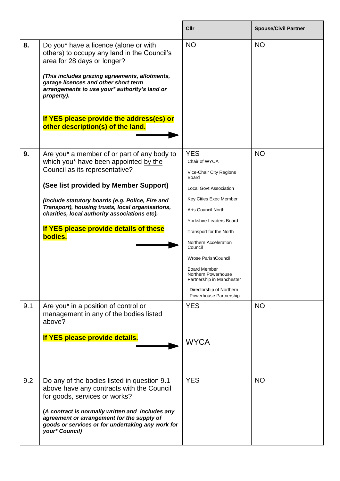|     |                                                                                                                                                                                                                                                                                                                                                                               | Cllr                                                                                                                                                                                                                                                                                                                                                                                               | <b>Spouse/Civil Partner</b> |
|-----|-------------------------------------------------------------------------------------------------------------------------------------------------------------------------------------------------------------------------------------------------------------------------------------------------------------------------------------------------------------------------------|----------------------------------------------------------------------------------------------------------------------------------------------------------------------------------------------------------------------------------------------------------------------------------------------------------------------------------------------------------------------------------------------------|-----------------------------|
| 8.  | Do you* have a licence (alone or with<br>others) to occupy any land in the Council's<br>area for 28 days or longer?<br>(This includes grazing agreements, allotments,<br>garage licences and other short term<br>arrangements to use your* authority's land or<br>property).<br>If YES please provide the address(es) or<br>other description(s) of the land.                 | <b>NO</b>                                                                                                                                                                                                                                                                                                                                                                                          | <b>NO</b>                   |
| 9.  | Are you* a member of or part of any body to<br>which you* have been appointed by the<br>Council as its representative?<br>(See list provided by Member Support)<br>(Include statutory boards (e.g. Police, Fire and<br>Transport), housing trusts, local organisations,<br>charities, local authority associations etc).<br>If YES please provide details of these<br>bodies. | <b>YES</b><br>Chair of WYCA<br>Vice-Chair City Regions<br>Board<br><b>Local Govt Association</b><br>Key Cities Exec Member<br>Arts Council North<br>Yorkshire Leaders Board<br>Transport for the North<br>Northern Acceleration<br>Council<br>Wrose ParishCouncil<br><b>Board Member</b><br>Northern Powerhouse<br>Partnership in Manchester<br>Directorship of Northern<br>Powerhouse Partnership | <b>NO</b>                   |
| 9.1 | Are you* in a position of control or<br>management in any of the bodies listed<br>above?<br>If YES please provide details.                                                                                                                                                                                                                                                    | <b>YES</b><br><b>WYCA</b>                                                                                                                                                                                                                                                                                                                                                                          | <b>NO</b>                   |
| 9.2 | Do any of the bodies listed in question 9.1<br>above have any contracts with the Council<br>for goods, services or works?<br>(A contract is normally written and includes any<br>agreement or arrangement for the supply of<br>goods or services or for undertaking any work for<br>your* Council)                                                                            | <b>YES</b>                                                                                                                                                                                                                                                                                                                                                                                         | <b>NO</b>                   |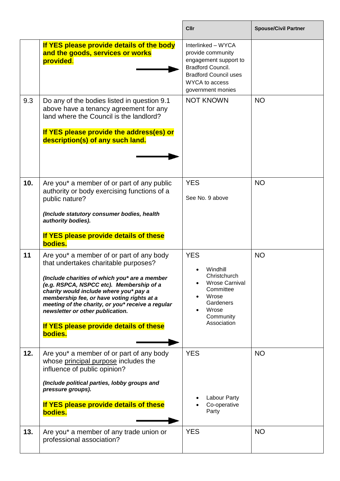|     |                                                                                                                                                                                                                                                                                                                                                                                                                     | <b>Cllr</b>                                                                                                                                                         | <b>Spouse/Civil Partner</b> |
|-----|---------------------------------------------------------------------------------------------------------------------------------------------------------------------------------------------------------------------------------------------------------------------------------------------------------------------------------------------------------------------------------------------------------------------|---------------------------------------------------------------------------------------------------------------------------------------------------------------------|-----------------------------|
|     | If YES please provide details of the body<br>and the goods, services or works<br>provided.                                                                                                                                                                                                                                                                                                                          | Interlinked - WYCA<br>provide community<br>engagement support to<br><b>Bradford Council.</b><br><b>Bradford Council uses</b><br>WYCA to access<br>government monies |                             |
| 9.3 | Do any of the bodies listed in question 9.1<br>above have a tenancy agreement for any<br>land where the Council is the landlord?<br>If YES please provide the address(es) or<br>description(s) of any such land.                                                                                                                                                                                                    | <b>NOT KNOWN</b>                                                                                                                                                    | <b>NO</b>                   |
| 10. | Are you* a member of or part of any public<br>authority or body exercising functions of a<br>public nature?<br>(Include statutory consumer bodies, health<br>authority bodies).<br>If YES please provide details of these<br>bodies.                                                                                                                                                                                | <b>YES</b><br>See No. 9 above                                                                                                                                       | <b>NO</b>                   |
| 11  | Are you* a member of or part of any body<br>that undertakes charitable purposes?<br>(Include charities of which you* are a member<br>(e.g. RSPCA, NSPCC etc). Membership of a<br>charity would include where you* pay a<br>membership fee, or have voting rights at a<br>meeting of the charity, or you* receive a regular<br>newsletter or other publication.<br>If YES please provide details of these<br>bodies. | <b>YES</b><br>Windhill<br>Christchurch<br><b>Wrose Carnival</b><br>Committee<br>Wrose<br>Gardeners<br>Wrose<br>Community<br>Association                             | <b>NO</b>                   |
| 12. | Are you* a member of or part of any body<br>whose principal purpose includes the<br>influence of public opinion?<br>(Include political parties, lobby groups and<br>pressure groups).<br>If YES please provide details of these<br>bodies.                                                                                                                                                                          | <b>YES</b><br>Labour Party<br>Co-operative<br>Party                                                                                                                 | <b>NO</b>                   |
| 13. | Are you* a member of any trade union or<br>professional association?                                                                                                                                                                                                                                                                                                                                                | <b>YES</b>                                                                                                                                                          | <b>NO</b>                   |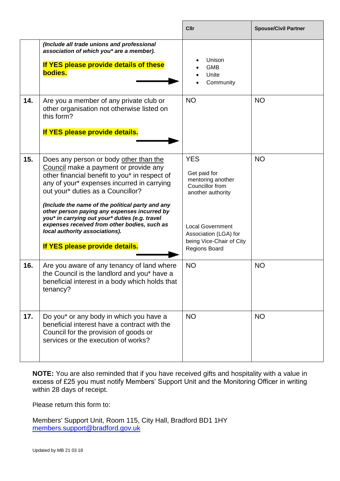|     |                                                                                                                                                                                                                                                                                                                                                                                                                                                                                               | Cllr                                                                                                                                                                                            | <b>Spouse/Civil Partner</b> |
|-----|-----------------------------------------------------------------------------------------------------------------------------------------------------------------------------------------------------------------------------------------------------------------------------------------------------------------------------------------------------------------------------------------------------------------------------------------------------------------------------------------------|-------------------------------------------------------------------------------------------------------------------------------------------------------------------------------------------------|-----------------------------|
| 14. | (Include all trade unions and professional<br>association of which you* are a member).<br>If YES please provide details of these<br>bodies.<br>Are you a member of any private club or<br>other organisation not otherwise listed on<br>this form?<br>If YES please provide details.                                                                                                                                                                                                          | Unison<br><b>GMB</b><br>Unite<br>Community<br><b>NO</b>                                                                                                                                         | <b>NO</b>                   |
| 15. | Does any person or body other than the<br>Council make a payment or provide any<br>other financial benefit to you* in respect of<br>any of your* expenses incurred in carrying<br>out your* duties as a Councillor?<br>(Include the name of the political party and any<br>other person paying any expenses incurred by<br>you* in carrying out your* duties (e.g. travel<br>expenses received from other bodies, such as<br>local authority associations).<br>If YES please provide details. | <b>YES</b><br>Get paid for<br>mentoring another<br>Councillor from<br>another authority<br><b>Local Government</b><br>Association (LGA) for<br>being Vice-Chair of City<br><b>Regions Board</b> | <b>NO</b>                   |
| 16. | Are you aware of any tenancy of land where<br>the Council is the landlord and you* have a<br>beneficial interest in a body which holds that<br>tenancy?                                                                                                                                                                                                                                                                                                                                       | <b>NO</b>                                                                                                                                                                                       | <b>NO</b>                   |
| 17. | Do you* or any body in which you have a<br>beneficial interest have a contract with the<br>Council for the provision of goods or<br>services or the execution of works?                                                                                                                                                                                                                                                                                                                       | <b>NO</b>                                                                                                                                                                                       | <b>NO</b>                   |

**NOTE:** You are also reminded that if you have received gifts and hospitality with a value in excess of £25 you must notify Members' Support Unit and the Monitoring Officer in writing within 28 days of receipt.

Please return this form to:

Members' Support Unit, Room 115, City Hall, Bradford BD1 1HY [members.support@bradford.gov.uk](mailto:members.support@bradford.gov.uk)